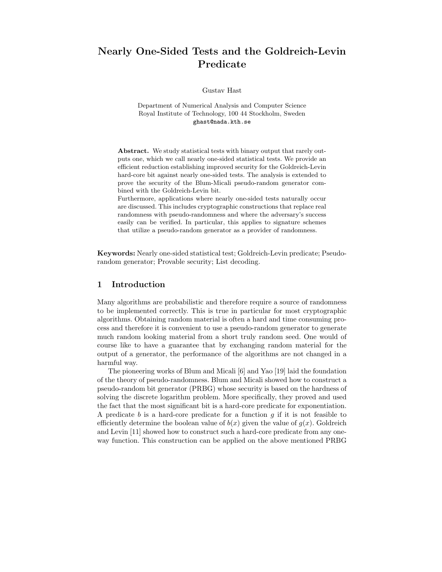# Nearly One-Sided Tests and the Goldreich-Levin Predicate

Gustav Hast

Department of Numerical Analysis and Computer Science Royal Institute of Technology, 100 44 Stockholm, Sweden ghast@nada.kth.se

Abstract. We study statistical tests with binary output that rarely outputs one, which we call nearly one-sided statistical tests. We provide an efficient reduction establishing improved security for the Goldreich-Levin hard-core bit against nearly one-sided tests. The analysis is extended to prove the security of the Blum-Micali pseudo-random generator combined with the Goldreich-Levin bit.

Furthermore, applications where nearly one-sided tests naturally occur are discussed. This includes cryptographic constructions that replace real randomness with pseudo-randomness and where the adversary's success easily can be verified. In particular, this applies to signature schemes that utilize a pseudo-random generator as a provider of randomness.

Keywords: Nearly one-sided statistical test; Goldreich-Levin predicate; Pseudorandom generator; Provable security; List decoding.

# 1 Introduction

Many algorithms are probabilistic and therefore require a source of randomness to be implemented correctly. This is true in particular for most cryptographic algorithms. Obtaining random material is often a hard and time consuming process and therefore it is convenient to use a pseudo-random generator to generate much random looking material from a short truly random seed. One would of course like to have a guarantee that by exchanging random material for the output of a generator, the performance of the algorithms are not changed in a harmful way.

The pioneering works of Blum and Micali [6] and Yao [19] laid the foundation of the theory of pseudo-randomness. Blum and Micali showed how to construct a pseudo-random bit generator (PRBG) whose security is based on the hardness of solving the discrete logarithm problem. More specifically, they proved and used the fact that the most significant bit is a hard-core predicate for exponentiation. A predicate b is a hard-core predicate for a function  $q$  if it is not feasible to efficiently determine the boolean value of  $b(x)$  given the value of  $q(x)$ . Goldreich and Levin [11] showed how to construct such a hard-core predicate from any oneway function. This construction can be applied on the above mentioned PRBG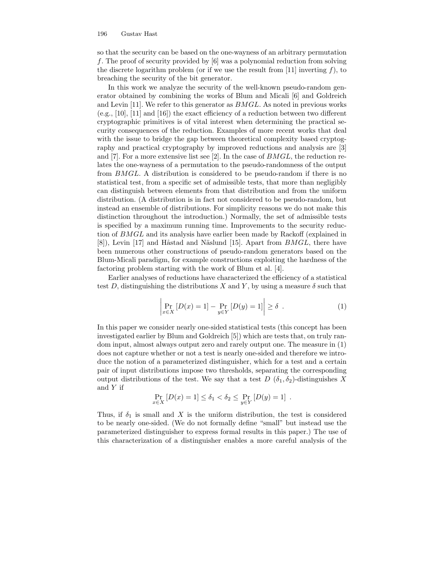so that the security can be based on the one-wayness of an arbitrary permutation f. The proof of security provided by [6] was a polynomial reduction from solving the discrete logarithm problem (or if we use the result from [11] inverting  $f$ ), to breaching the security of the bit generator.

In this work we analyze the security of the well-known pseudo-random generator obtained by combining the works of Blum and Micali [6] and Goldreich and Levin [11]. We refer to this generator as  $BMGL$ . As noted in previous works (e.g., [10], [11] and [16]) the exact efficiency of a reduction between two different cryptographic primitives is of vital interest when determining the practical security consequences of the reduction. Examples of more recent works that deal with the issue to bridge the gap between theoretical complexity based cryptography and practical cryptography by improved reductions and analysis are [3] and [7]. For a more extensive list see [2]. In the case of BMGL, the reduction relates the one-wayness of a permutation to the pseudo-randomness of the output from BMGL. A distribution is considered to be pseudo-random if there is no statistical test, from a specific set of admissible tests, that more than negligibly can distinguish between elements from that distribution and from the uniform distribution. (A distribution is in fact not considered to be pseudo-random, but instead an ensemble of distributions. For simplicity reasons we do not make this distinction throughout the introduction.) Normally, the set of admissible tests is specified by a maximum running time. Improvements to the security reduction of BMGL and its analysis have earlier been made by Rackoff (explained in [8]), Levin [17] and Håstad and Näslund [15]. Apart from  $BMGL$ , there have been numerous other constructions of pseudo-random generators based on the Blum-Micali paradigm, for example constructions exploiting the hardness of the factoring problem starting with the work of Blum et al. [4].

Earlier analyses of reductions have characterized the efficiency of a statistical test D, distinguishing the distributions X and Y, by using a measure  $\delta$  such that

$$
\left| \Pr_{x \in X} \left[ D(x) = 1 \right] - \Pr_{y \in Y} \left[ D(y) = 1 \right] \right| \ge \delta \quad . \tag{1}
$$

In this paper we consider nearly one-sided statistical tests (this concept has been investigated earlier by Blum and Goldreich [5]) which are tests that, on truly random input, almost always output zero and rarely output one. The measure in (1) does not capture whether or not a test is nearly one-sided and therefore we introduce the notion of a parameterized distinguisher, which for a test and a certain pair of input distributions impose two thresholds, separating the corresponding output distributions of the test. We say that a test D  $(\delta_1, \delta_2)$ -distinguishes X and Y if

$$
\Pr_{x \in X} [D(x) = 1] \le \delta_1 < \delta_2 \le \Pr_{y \in Y} [D(y) = 1] .
$$

Thus, if  $\delta_1$  is small and X is the uniform distribution, the test is considered to be nearly one-sided. (We do not formally define "small" but instead use the parameterized distinguisher to express formal results in this paper.) The use of this characterization of a distinguisher enables a more careful analysis of the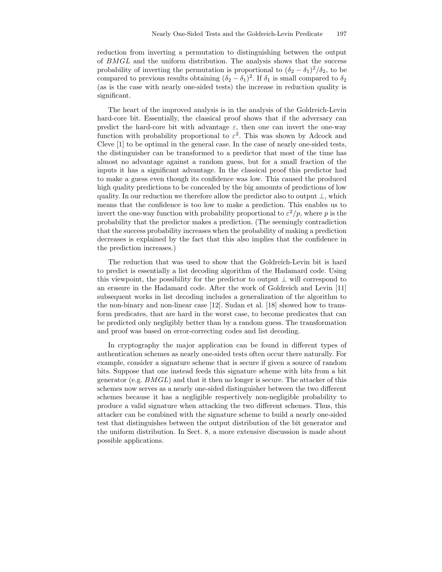reduction from inverting a permutation to distinguishing between the output of BMGL and the uniform distribution. The analysis shows that the success probability of inverting the permutation is proportional to  $(\delta_2 - \delta_1)^2/\delta_2$ , to be compared to previous results obtaining  $(\delta_2 - \delta_1)^2$ . If  $\delta_1$  is small compared to  $\delta_2$ (as is the case with nearly one-sided tests) the increase in reduction quality is significant.

The heart of the improved analysis is in the analysis of the Goldreich-Levin hard-core bit. Essentially, the classical proof shows that if the adversary can predict the hard-core bit with advantage  $\varepsilon$ , then one can invert the one-way function with probability proportional to  $\varepsilon^2$ . This was shown by Adcock and Cleve [1] to be optimal in the general case. In the case of nearly one-sided tests, the distinguisher can be transformed to a predictor that most of the time has almost no advantage against a random guess, but for a small fraction of the inputs it has a significant advantage. In the classical proof this predictor had to make a guess even though its confidence was low. This caused the produced high quality predictions to be concealed by the big amounts of predictions of low quality. In our reduction we therefore allow the predictor also to output  $\perp$ , which means that the confidence is too low to make a prediction. This enables us to invert the one-way function with probability proportional to  $\varepsilon^2/p$ , where p is the probability that the predictor makes a prediction. (The seemingly contradiction that the success probability increases when the probability of making a prediction decreases is explained by the fact that this also implies that the confidence in the prediction increases.)

The reduction that was used to show that the Goldreich-Levin bit is hard to predict is essentially a list decoding algorithm of the Hadamard code. Using this viewpoint, the possibility for the predictor to output  $\perp$  will correspond to an erasure in the Hadamard code. After the work of Goldreich and Levin [11] subsequent works in list decoding includes a generalization of the algorithm to the non-binary and non-linear case [12]. Sudan et al. [18] showed how to transform predicates, that are hard in the worst case, to become predicates that can be predicted only negligibly better than by a random guess. The transformation and proof was based on error-correcting codes and list decoding.

In cryptography the major application can be found in different types of authentication schemes as nearly one-sided tests often occur there naturally. For example, consider a signature scheme that is secure if given a source of random bits. Suppose that one instead feeds this signature scheme with bits from a bit generator (e.g. BMGL) and that it then no longer is secure. The attacker of this schemes now serves as a nearly one-sided distinguisher between the two different schemes because it has a negligible respectively non-negligible probability to produce a valid signature when attacking the two different schemes. Thus, this attacker can be combined with the signature scheme to build a nearly one-sided test that distinguishes between the output distribution of the bit generator and the uniform distribution. In Sect. 8, a more extensive discussion is made about possible applications.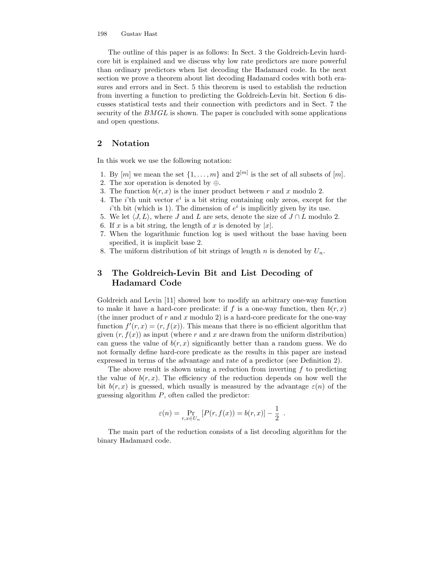The outline of this paper is as follows: In Sect. 3 the Goldreich-Levin hardcore bit is explained and we discuss why low rate predictors are more powerful than ordinary predictors when list decoding the Hadamard code. In the next section we prove a theorem about list decoding Hadamard codes with both erasures and errors and in Sect. 5 this theorem is used to establish the reduction from inverting a function to predicting the Goldreich-Levin bit. Section 6 discusses statistical tests and their connection with predictors and in Sect. 7 the security of the BMGL is shown. The paper is concluded with some applications and open questions.

# 2 Notation

In this work we use the following notation:

- 1. By  $[m]$  we mean the set  $\{1, \ldots, m\}$  and  $2^{[m]}$  is the set of all subsets of  $[m]$ .
- 2. The xor operation is denoted by ⊕.
- 3. The function  $b(r, x)$  is the inner product between r and x modulo 2.
- 4. The *i*'th unit vector  $e^i$  is a bit string containing only zeros, except for the i'th bit (which is 1). The dimension of  $e^i$  is implicitly given by its use.
- 5. We let  $\langle J,L\rangle$ , where J and L are sets, denote the size of  $J \cap L$  modulo 2.
- 6. If x is a bit string, the length of x is denoted by  $|x|$ .
- 7. When the logarithmic function log is used without the base having been specified, it is implicit base 2.
- 8. The uniform distribution of bit strings of length n is denoted by  $U_n$ .

# 3 The Goldreich-Levin Bit and List Decoding of Hadamard Code

Goldreich and Levin [11] showed how to modify an arbitrary one-way function to make it have a hard-core predicate: if f is a one-way function, then  $b(r, x)$ (the inner product of  $r$  and  $x$  modulo 2) is a hard-core predicate for the one-way function  $f'(r, x) = (r, f(x))$ . This means that there is no efficient algorithm that given  $(r, f(x))$  as input (where r and x are drawn from the uniform distribution) can guess the value of  $b(r, x)$  significantly better than a random guess. We do not formally define hard-core predicate as the results in this paper are instead expressed in terms of the advantage and rate of a predictor (see Definition 2).

The above result is shown using a reduction from inverting  $f$  to predicting the value of  $b(r, x)$ . The efficiency of the reduction depends on how well the bit  $b(r, x)$  is guessed, which usually is measured by the advantage  $\varepsilon(n)$  of the guessing algorithm  $P$ , often called the predictor:

$$
\varepsilon(n) = \Pr_{r,x \in U_n} \left[ P(r, f(x)) = b(r,x) \right] - \frac{1}{2} .
$$

The main part of the reduction consists of a list decoding algorithm for the binary Hadamard code.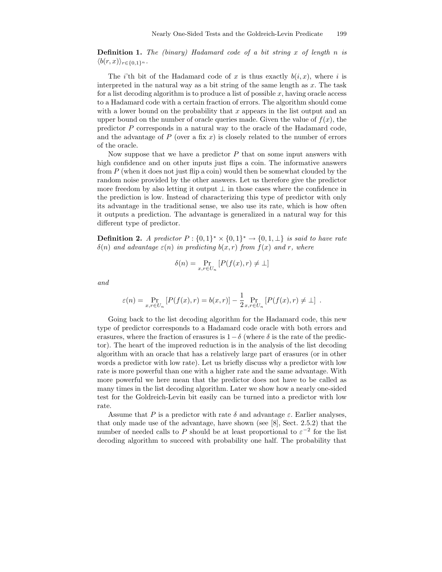**Definition 1.** The (binary) Hadamard code of a bit string x of length n is  $\langle b(r, x) \rangle_{r \in \{0,1\}^n}$ .

The *i*'th bit of the Hadamard code of x is thus exactly  $b(i, x)$ , where i is interpreted in the natural way as a bit string of the same length as  $x$ . The task for a list decoding algorithm is to produce a list of possible  $x$ , having oracle access to a Hadamard code with a certain fraction of errors. The algorithm should come with a lower bound on the probability that  $x$  appears in the list output and an upper bound on the number of oracle queries made. Given the value of  $f(x)$ , the predictor P corresponds in a natural way to the oracle of the Hadamard code, and the advantage of P (over a fix x) is closely related to the number of errors of the oracle.

Now suppose that we have a predictor  $P$  that on some input answers with high confidence and on other inputs just flips a coin. The informative answers from P (when it does not just flip a coin) would then be somewhat clouded by the random noise provided by the other answers. Let us therefore give the predictor more freedom by also letting it output  $\perp$  in those cases where the confidence in the prediction is low. Instead of characterizing this type of predictor with only its advantage in the traditional sense, we also use its rate, which is how often it outputs a prediction. The advantage is generalized in a natural way for this different type of predictor.

**Definition 2.** A predictor  $P: \{0,1\}^* \times \{0,1\}^* \to \{0,1,\perp\}$  is said to have rate  $\delta(n)$  and advantage  $\varepsilon(n)$  in predicting  $b(x,r)$  from  $f(x)$  and r, where

$$
\delta(n) = \Pr_{x,r \in U_n} \left[ P(f(x), r) \neq \bot \right]
$$

and

$$
\varepsilon(n) = \Pr_{x,r \in U_n} [P(f(x),r) = b(x,r)] - \frac{1}{2} \Pr_{x,r \in U_n} [P(f(x),r) \neq \bot].
$$

Going back to the list decoding algorithm for the Hadamard code, this new type of predictor corresponds to a Hadamard code oracle with both errors and erasures, where the fraction of erasures is  $1-\delta$  (where  $\delta$  is the rate of the predictor). The heart of the improved reduction is in the analysis of the list decoding algorithm with an oracle that has a relatively large part of erasures (or in other words a predictor with low rate). Let us briefly discuss why a predictor with low rate is more powerful than one with a higher rate and the same advantage. With more powerful we here mean that the predictor does not have to be called as many times in the list decoding algorithm. Later we show how a nearly one-sided test for the Goldreich-Levin bit easily can be turned into a predictor with low rate.

Assume that P is a predictor with rate  $\delta$  and advantage  $\varepsilon$ . Earlier analyses, that only made use of the advantage, have shown (see [8], Sect. 2.5.2) that the number of needed calls to P should be at least proportional to  $\varepsilon^{-2}$  for the list decoding algorithm to succeed with probability one half. The probability that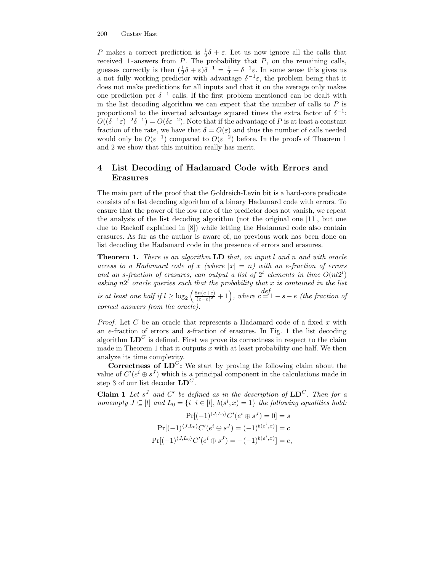P makes a correct prediction is  $\frac{1}{2}\delta + \varepsilon$ . Let us now ignore all the calls that received  $\perp$ -answers from P. The probability that P, on the remaining calls, guesses correctly is then  $(\frac{1}{2}\delta + \varepsilon)\delta^{-1} = \frac{1}{2} + \delta^{-1}\varepsilon$ . In some sense this gives us a not fully working predictor with advantage  $\delta^{-1} \varepsilon$ , the problem being that it does not make predictions for all inputs and that it on the average only makes one prediction per  $\delta^{-1}$  calls. If the first problem mentioned can be dealt with in the list decoding algorithm we can expect that the number of calls to  $P$  is proportional to the inverted advantage squared times the extra factor of  $\delta^{-1}$ :  $O((\delta^{-1}\varepsilon)^{-2}\delta^{-1})=O(\delta\varepsilon^{-2})$ . Note that if the advantage of P is at least a constant fraction of the rate, we have that  $\delta = O(\varepsilon)$  and thus the number of calls needed would only be  $O(\varepsilon^{-1})$  compared to  $O(\varepsilon^{-2})$  before. In the proofs of Theorem 1 and 2 we show that this intuition really has merit.

# 4 List Decoding of Hadamard Code with Errors and Erasures

The main part of the proof that the Goldreich-Levin bit is a hard-core predicate consists of a list decoding algorithm of a binary Hadamard code with errors. To ensure that the power of the low rate of the predictor does not vanish, we repeat the analysis of the list decoding algorithm (not the original one [11], but one due to Rackoff explained in [8]) while letting the Hadamard code also contain erasures. As far as the author is aware of, no previous work has been done on list decoding the Hadamard code in the presence of errors and erasures.

**Theorem 1.** There is an algorithm **LD** that, on input l and n and with oracle access to a Hadamard code of x (where  $|x| = n$ ) with an e-fraction of errors and an s-fraction of erasures, can output a list of  $2^l$  elements in time  $O(n!2^l)$ asking  $n2<sup>l</sup>$  oracle queries such that the probability that x is contained in the list  $\frac{d^{3n(e+c)}}{(e-e)^2}+1$ , where  $c = 1 - s - e$  (the fraction of

is at least one half if  $l \geq \log_2 \left( \frac{8n(e+c)}{(c-e)^2} \right)$ correct answers from the oracle).

*Proof.* Let C be an oracle that represents a Hadamard code of a fixed x with an e-fraction of errors and s-fraction of erasures. In Fig. 1 the list decoding algorithm  $LD^C$  is defined. First we prove its correctness in respect to the claim made in Theorem 1 that it outputs  $x$  with at least probability one half. We then analyze its time complexity.

**Correctness of**  $LD^C$ **:** We start by proving the following claim about the value of  $C'(e^i \oplus s^J)$  which is a principal component in the calculations made in step 3 of our list decoder  $LD^C$ .

**Claim 1** Let  $s^J$  and C' be defined as in the description of  $LD^C$ . Then for a nonempty  $J \subseteq [l]$  and  $L_0 = \{i \mid i \in [l], b(s^i, x) = 1\}$  the following equalities hold:

$$
\Pr[(-1)^{\langle J, L_0 \rangle} C'(e^i \oplus s^J) = 0] = s
$$
  
\n
$$
\Pr[(-1)^{\langle J, L_0 \rangle} C'(e^i \oplus s^J) = (-1)^{b(e^i, x)}] = c
$$
  
\n
$$
\Pr[(-1)^{\langle J, L_0 \rangle} C'(e^i \oplus s^J) = -(-1)^{b(e^i, x)}] = e,
$$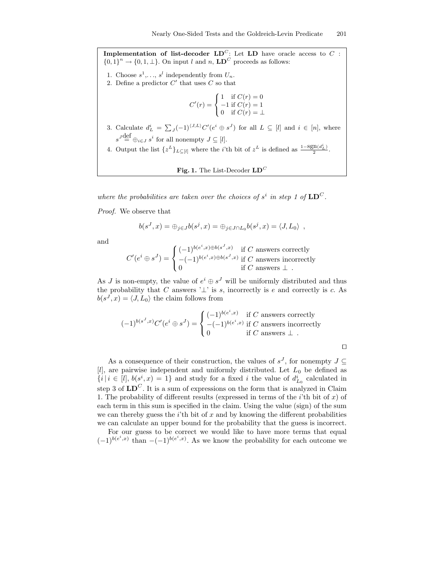Implementation of list-decoder  $LD^C$ : Let LD have oracle access to  $C$  :  $\{0,1\}^n \to \{0,1,\perp\}$ . On input l and n,  $\mathbf{LD}^C$  proceeds as follows: 1. Choose  $s^1, \ldots, s^l$  independently from  $U_n$ . 2. Define a predictor  $C'$  that uses  $C$  so that  $C'(r) =$  $\sqrt{ }$ J  $\mathbf{I}$ 1 if  $C(r) = 0$  $-1$  if  $C(r) = 1$ 0 if  $C(r) = \perp$ 3. Calculate  $d_L^i = \sum_J (-1)^{\langle J, L \rangle} C' (e^i \oplus s^J)$  for all  $L \subseteq [l]$  and  $i \in [n]$ , where  $s^J \stackrel{\text{def}}{=} \bigoplus_{i \in J} s^i$  for all nonempty  $J \subseteq [l]$ . 4. Output the list  $\{z^L\}_{L\subseteq[l]}$  where the *i*'th bit of  $z^L$  is defined as  $\frac{1-\text{sgn}(d^i_L)}{2}$ . Fig. 1. The List-Decoder  $LD^C$ 

where the probabilities are taken over the choices of  $s^i$  in step 1 of  $\mathbf{LD}^C$ .

Proof. We observe that

$$
b(sJ, x) = \bigoplus_{j \in J} b(sj, x) = \bigoplus_{j \in J \cap L_0} b(sj, x) = \langle J, L_0 \rangle ,
$$

and

$$
C'(e^i \oplus s^J) = \begin{cases} (-1)^{b(e^i, x) \oplus b(s^J, x)} & \text{if } C \text{ answers correctly} \\ -(-1)^{b(e^i, x) \oplus b(s^J, x)} & \text{if } C \text{ answers incorrectly} \\ 0 & \text{if } C \text{ answers } \perp. \end{cases}
$$

As *J* is non-empty, the value of  $e^i \oplus s^J$  will be uniformly distributed and thus the probability that C answers  $'$ ⊥' is s, incorrectly is e and correctly is c. As  $b(s^J, x) = \langle J, L_0 \rangle$  the claim follows from

$$
(-1)^{b(s^J,x)}C'(e^i \oplus s^J) = \begin{cases} (-1)^{b(e^i,x)} & \text{if } C \text{ answers correctly} \\ -(-1)^{b(e^i,x)} & \text{if } C \text{ answers incorrectly} \\ 0 & \text{if } C \text{ answers } \perp. \end{cases}
$$

 $\Box$ 

As a consequence of their construction, the values of  $s^J$ , for nonempty  $J \subseteq$ [*l*], are pairwise independent and uniformly distributed. Let  $L_0$  be defined as  $\{i \mid i \in [l], b(s_i^i, x) = 1\}$  and study for a fixed i the value of  $d_{L_0}^i$  calculated in step 3 of  $LD^C$ . It is a sum of expressions on the form that is analyzed in Claim 1. The probability of different results (expressed in terms of the  $i$ 'th bit of  $x$ ) of each term in this sum is specified in the claim. Using the value (sign) of the sum we can thereby guess the  $i$ 'th bit of x and by knowing the different probabilities we can calculate an upper bound for the probability that the guess is incorrect.

For our guess to be correct we would like to have more terms that equal  $(-1)^{b(e^i,x)}$  than  $-(-1)^{b(e^i,x)}$ . As we know the probability for each outcome we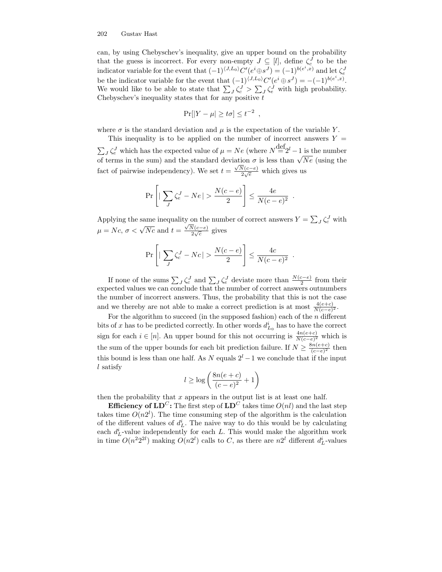can, by using Chebyschev's inequality, give an upper bound on the probability that the guess is incorrect. For every non-empty  $J \subseteq [l]$ , define  $\zeta_c^J$  to be the indicator variable for the event that  $(-1)^{\langle J, L_0 \rangle} C' (e^i \oplus s^J) = (-1)^{b(e^i, x)}$  and let  $\zeta_e^J$ be the indicator variable for the event that  $(-1)^{\langle J,L_0\rangle}C'(e^i\oplus s^J) = -(-1)^{b(e^i,x)}$ . We would like to be able to state that  $\sum_{J} \zeta_c^J > \sum_{J} \zeta_e^J$  with high probability. Chebyschev's inequality states that for any positive  $t$ 

$$
\Pr[|Y - \mu| \ge t\sigma] \le t^{-2} ,
$$

where  $\sigma$  is the standard deviation and  $\mu$  is the expectation of the variable Y.

This inequality is to be applied on the number of incorrect answers  $Y =$  $\sum_{J} \zeta_e^J$  which has the expected value of  $\mu = Ne$  (where  $N^{\text{def}} 2^l - 1$  is the number of terms in the sum) and the standard deviation  $\sigma$  is less than  $\sqrt{Ne}$  (using the fact of pairwise independency). We set  $t = \frac{\sqrt{N}(c-e)}{2\sqrt{e}}$  which gives us

$$
\Pr\left[\left|\sum_{J} \zeta_e^J - Ne\right| > \frac{N(c-e)}{2}\right] \le \frac{4e}{N(c-e)^2}.
$$

Applying the same inequality on the number of correct answers  $Y = \sum_{J} \zeta_c^J$  with  $\mu = Nc, \sigma < \sqrt{Nc}$  and  $t = \frac{\sqrt{N}(c-e)}{2\sqrt{c}}$  gives

$$
\Pr\left[\left|\sum_{J} \zeta_c^J - Nc\right| > \frac{N(c-e)}{2}\right] \le \frac{4c}{N(c-e)^2} \enspace .
$$

If none of the sums  $\sum_{J} \zeta_c^J$  and  $\sum_{J} \zeta_e^J$  deviate more than  $\frac{N(c-e)}{2}$  from their expected values we can conclude that the number of correct answers outnumbers the number of incorrect answers. Thus, the probability that this is not the case and we thereby are not able to make a correct prediction is at most  $\frac{4(e+c)}{N(c-e)^2}$ .

For the algorithm to succeed (in the supposed fashion) each of the  $n$  different bits of x has to be predicted correctly. In other words  $d_{L_0}^i$  has to have the correct sign for each  $i \in [n]$ . An upper bound for this not occurring is  $\frac{4n(e+c)}{N(e-e)^2}$  which is the sum of the upper bounds for each bit prediction failure. If  $N \ge \frac{8n(e+c)}{(c-e)^2}$  $\frac{(c-e)^2}{(c-e)^2}$  then this bound is less than one half. As N equals  $2^l - 1$  we conclude that if the input l satisfy

$$
l \ge \log\left(\frac{8n(e+c)}{(c-e)^2} + 1\right)
$$

then the probability that  $x$  appears in the output list is at least one half.

**Efficiency of**  $\mathbf{LD}^C\text{:}$  The first step of  $\mathbf{LD}^C$  takes time  $O(nl)$  and the last step takes time  $O(n2^l)$ . The time consuming step of the algorithm is the calculation of the different values of  $d_L^i$ . The naive way to do this would be by calculating each  $d_{L}^{i}$ -value independently for each L. This would make the algorithm work in time  $O(n^2 2^{2l})$  making  $O(n2^l)$  calls to C, as there are  $n2^l$  different  $d^i_L$ -values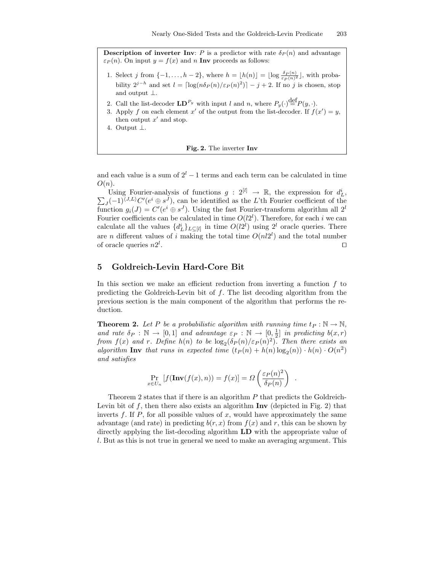**Description of inverter Inv**: P is a predictor with rate  $\delta_P(n)$  and advantage  $\varepsilon_P(n)$ . On input  $y = f(x)$  and n Inv proceeds as follows:

- 1. Select j from  $\{-1, \ldots, h-2\}$ , where  $h = \lfloor h(n) \rfloor = \lfloor \log \frac{\delta_P(n)}{\varepsilon_P(n)^2} \rfloor$ , with probability  $2^{j-h}$  and set  $l = \lceil \log(n \delta_P(n)/\varepsilon_P(n)^2) \rceil - j + 2$ . If no j is chosen, stop and output  $\perp$ .
- 2. Call the list-decoder  $\mathbf{LD}^{P_y}$  with input l and n, where  $P_y(\cdot) \stackrel{\text{def}}{=} P(y, \cdot)$ .
- 3. Apply f on each element x' of the output from the list-decoder. If  $f(x') = y$ , then output  $x'$  and stop.
- 4. Output ⊥.



and each value is a sum of  $2^l - 1$  terms and each term can be calculated in time  $O(n)$ .

Using Fourier-analysis of functions  $g : 2^{[l]} \to \mathbb{R}$ , the expression for  $d_L^i$ ,<br> $\sum_{J} (-1)^{\langle J, L \rangle} C'(e^i \oplus s^J)$ , can be identified as the *L*'th Fourier coefficient of the function  $g_i(J) = C'(e^i \oplus s^J)$ . Using the fast Fourier-transform algorithm all  $2^l$ Fourier coefficients can be calculated in time  $O(l2^l)$ . Therefore, for each i we can calculate all the values  $\{d_L^i\}_{L\subseteq[l]}$  in time  $O(l2^l)$  using  $2^l$  oracle queries. There are *n* different values of *i* making the total time  $O(n2<sup>l</sup>)$  and the total number of oracle queries  $n2^l$ . The contract of the contract of the contract of the contract of the contract of the contract of the contract<br>The contract of the contract of the contract of the contract of the contract of the contract of the contract o

# 5 Goldreich-Levin Hard-Core Bit

In this section we make an efficient reduction from inverting a function  $f$  to predicting the Goldreich-Levin bit of f. The list decoding algorithm from the previous section is the main component of the algorithm that performs the reduction.

**Theorem 2.** Let P be a probabilistic algorithm with running time  $t_P : \mathbb{N} \to \mathbb{N}$ , and rate  $\delta_P : \mathbb{N} \to [0,1]$  and advantage  $\varepsilon_P : \mathbb{N} \to [0,\frac{1}{2}]$  in predicting  $b(x,r)$ from  $f(x)$  and r. Define  $h(n)$  to be  $\log_2(\delta_P(n)/\varepsilon_P(n)^2)$ . Then there exists an algorithm Inv that runs in expected time  $(t_P(n) + h(n) \log_2(n)) \cdot h(n) \cdot O(n^2)$ and satisfies

$$
\Pr_{x \in U_n} \left[ f(\mathbf{Inv}(f(x), n)) = f(x) \right] = \Omega \left( \frac{\varepsilon_P(n)^2}{\delta_P(n)} \right)
$$

.

Theorem 2 states that if there is an algorithm P that predicts the Goldreich-Levin bit of f, then there also exists an algorithm  $\text{Inv}$  (depicted in Fig. 2) that inverts  $f$ . If P, for all possible values of x, would have approximately the same advantage (and rate) in predicting  $b(r, x)$  from  $f(x)$  and r, this can be shown by directly applying the list-decoding algorithm LD with the appropriate value of l. But as this is not true in general we need to make an averaging argument. This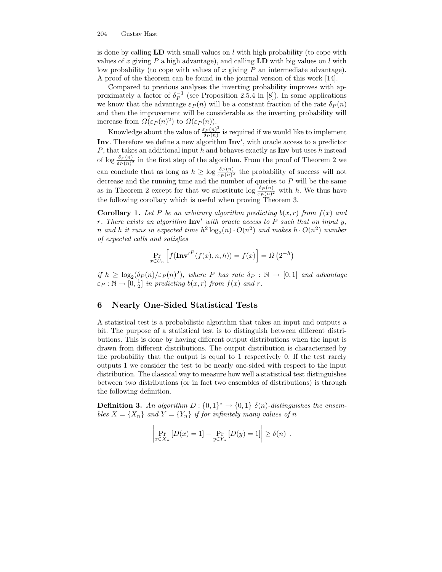is done by calling  $LD$  with small values on l with high probability (to cope with values of x giving P a high advantage), and calling  $LD$  with big values on l with low probability (to cope with values of x giving  $P$  an intermediate advantage). A proof of the theorem can be found in the journal version of this work [14].

Compared to previous analyses the inverting probability improves with approximately a factor of  $\delta_P^{-1}$  (see Proposition 2.5.4 in [8]). In some applications we know that the advantage  $\varepsilon_P(n)$  will be a constant fraction of the rate  $\delta_P(n)$ and then the improvement will be considerable as the inverting probability will increase from  $\Omega(\varepsilon_P(n)^2)$  to  $\Omega(\varepsilon_P(n))$ .

Knowledge about the value of  $\frac{\varepsilon_P(n)^2}{\delta_P(n)}$  $\frac{\partial^2 P^{(n)}}{\partial P^{(n)}}$  is required if we would like to implement Inv. Therefore we define a new algorithm Inv', with oracle access to a predictor P, that takes an additional input h and behaves exactly as  $\text{Inv}$  but uses h instead of  $\log \frac{\delta_P(n)}{\varepsilon_P(n)^2}$  in the first step of the algorithm. From the proof of Theorem 2 we can conclude that as long as  $h \geq \log \frac{\delta_P(n)}{\varepsilon_P(n)^2}$  the probability of success will not decrease and the running time and the number of queries to  $P$  will be the same as in Theorem 2 except for that we substitute  $\log \frac{\delta_P(n)}{\varepsilon_P(n)^2}$  with h. We thus have the following corollary which is useful when proving Theorem 3.

**Corollary 1.** Let P be an arbitrary algorithm predicting  $b(x,r)$  from  $f(x)$  and r. There exists an algorithm  $\text{Inv}'$  with oracle access to P such that on input y, n and h it runs in expected time  $h^2 \log_2(n) \cdot O(n^2)$  and makes  $h \cdot O(n^2)$  number of expected calls and satisfies

$$
\Pr_{x \in U_n} \left[ f(\mathbf{Inv'}^{P}(f(x), n, h)) = f(x) \right] = \Omega(2^{-h})
$$

if  $h \geq \log_2(\delta_P(n)/\varepsilon_P(n)^2)$ , where P has rate  $\delta_P : \mathbb{N} \to [0,1]$  and advantage  $\varepsilon_P : \mathbb{N} \to [0, \frac{1}{2}]$  in predicting  $b(x, r)$  from  $f(x)$  and  $r$ .

# 6 Nearly One-Sided Statistical Tests

A statistical test is a probabilistic algorithm that takes an input and outputs a bit. The purpose of a statistical test is to distinguish between different distributions. This is done by having different output distributions when the input is drawn from different distributions. The output distribution is characterized by the probability that the output is equal to 1 respectively 0. If the test rarely outputs 1 we consider the test to be nearly one-sided with respect to the input distribution. The classical way to measure how well a statistical test distinguishes between two distributions (or in fact two ensembles of distributions) is through the following definition.

**Definition 3.** An algorithm  $D: \{0,1\}^* \to \{0,1\}$   $\delta(n)$ -distinguishes the ensembles  $X = \{X_n\}$  and  $Y = \{Y_n\}$  if for infinitely many values of n

$$
\left| \Pr_{x \in X_n} \left[ D(x) = 1 \right] - \Pr_{y \in Y_n} \left[ D(y) = 1 \right] \right| \ge \delta(n) .
$$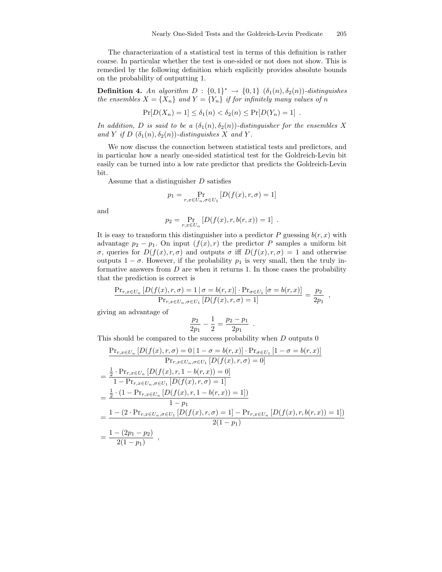The characterization of a statistical test in terms of this definition is rather coarse. In particular whether the test is one-sided or not does not show. This is remedied by the following definition which explicitly provides absolute bounds on the probability of outputting 1.

**Definition 4.** An algorithm  $D: \{0,1\}^* \to \{0,1\}$   $(\delta_1(n), \delta_2(n))$ -distinguishes the ensembles  $X = \{X_n\}$  and  $Y = \{Y_n\}$  if for infinitely many values of n

$$
Pr[D(X_n) = 1] \le \delta_1(n) < \delta_2(n) \le Pr[D(Y_n) = 1].
$$

In addition, D is said to be a  $(\delta_1(n), \delta_2(n))$ -distinguisher for the ensembles X and Y if D  $(\delta_1(n), \delta_2(n))$ -distinguishes X and Y.

We now discuss the connection between statistical tests and predictors, and in particular how a nearly one-sided statistical test for the Goldreich-Levin bit easily can be turned into a low rate predictor that predicts the Goldreich-Levin bit.

Assume that a distinguisher  $D$  satisfies

$$
p_1 = \Pr_{r,x \in U_n, \sigma \in U_1} \left[ D(f(x), r, \sigma) = 1 \right]
$$

and

$$
p_2 = \Pr_{r,x \in U_n} [D(f(x), r, b(r, x)) = 1] .
$$

It is easy to transform this distinguisher into a predictor  $P$  guessing  $b(r, x)$  with advantage  $p_2 - p_1$ . On input  $(f(x), r)$  the predictor P samples a uniform bit σ, queries for  $D(f(x), r, \sigma)$  and outputs σ iff  $D(f(x), r, \sigma) = 1$  and otherwise outputs  $1 - \sigma$ . However, if the probability  $p_1$  is very small, then the truly informative answers from  $D$  are when it returns 1. In those cases the probability that the prediction is correct is

$$
\frac{\Pr_{r,x \in U_n} [D(f(x), r, \sigma) = 1 | \sigma = b(r, x)] \cdot \Pr_{\sigma \in U_1} [\sigma = b(r, x)]}{\Pr_{r,x \in U_n, \sigma \in U_1} [D(f(x), r, \sigma) = 1]} = \frac{p_2}{2p_1} ,
$$

giving an advantage of

$$
\frac{p_2}{2p_1} - \frac{1}{2} = \frac{p_2 - p_1}{2p_1} .
$$

This should be compared to the success probability when D outputs 0

$$
\frac{\Pr_{r,x \in U_n} [D(f(x), r, \sigma) = 0 | 1 - \sigma = b(r, x)] \cdot \Pr_{\sigma \in U_1} [1 - \sigma = b(r, x)]}{\Pr_{r,x \in U_n, \sigma \in U_1} [D(f(x), r, \sigma) = 0]}
$$
\n
$$
= \frac{\frac{1}{2} \cdot \Pr_{r,x \in U_n} [D(f(x), r, 1 - b(r, x)) = 0]}{1 - \Pr_{r,x \in U_n, \sigma \in U_1} [D(f(x), r, \sigma) = 1]}
$$
\n
$$
= \frac{\frac{1}{2} \cdot (1 - \Pr_{r,x \in U_n} [D(f(x), r, 1 - b(r, x)) = 1])}{1 - p_1}
$$
\n
$$
= \frac{1 - (2 \cdot \Pr_{r,x \in U_n, \sigma \in U_1} [D(f(x), r, \sigma) = 1] - \Pr_{r,x \in U_n} [D(f(x), r, b(r, x)) = 1])}{2(1 - p_1)}
$$
\n
$$
= \frac{1 - (2p_1 - p_2)}{2(1 - p_1)},
$$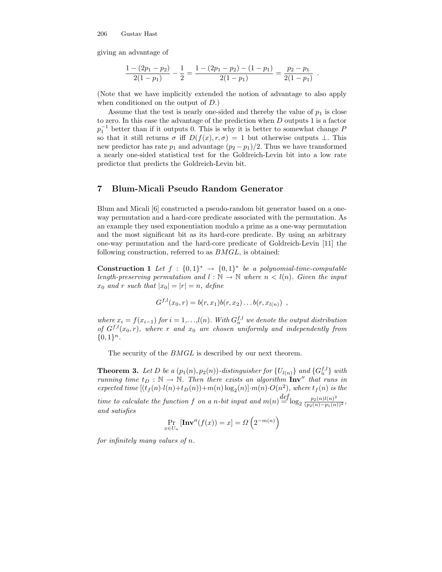giving an advantage of

$$
\frac{1-(2p_1-p_2)}{2(1-p_1)}-\frac{1}{2}=\frac{1-(2p_1-p_2)-(1-p_1)}{2(1-p_1)}=\frac{p_2-p_1}{2(1-p_1)}.
$$

(Note that we have implicitly extended the notion of advantage to also apply when conditioned on the output of D.)

Assume that the test is nearly one-sided and thereby the value of  $p_1$  is close to zero. In this case the advantage of the prediction when  $D$  outputs 1 is a factor  $p_1^{-1}$  better than if it outputs 0. This is why it is better to somewhat change  $P$ so that it still returns  $\sigma$  iff  $D(f(x), r, \sigma) = 1$  but otherwise outputs  $\bot$ . This new predictor has rate  $p_1$  and advantage  $(p_2 - p_1)/2$ . Thus we have transformed a nearly one-sided statistical test for the Goldreich-Levin bit into a low rate predictor that predicts the Goldreich-Levin bit.

### 7 Blum-Micali Pseudo Random Generator

Blum and Micali [6] constructed a pseudo-random bit generator based on a oneway permutation and a hard-core predicate associated with the permutation. As an example they used exponentiation modulo a prime as a one-way permutation and the most significant bit as its hard-core predicate. By using an arbitrary one-way permutation and the hard-core predicate of Goldreich-Levin [11] the following construction, referred to as BMGL, is obtained:

**Construction 1** Let  $f : \{0,1\}^* \rightarrow \{0,1\}^*$  be a polynomial-time-computable length-preserving permutation and  $l : \mathbb{N} \to \mathbb{N}$  where  $n < l(n)$ . Given the input  $x_0$  and r such that  $|x_0| = |r| = n$ , define

$$
G^{f,l}(x_0,r) = b(r,x_1)b(r,x_2)\dots b(r,x_{l(n)}) ,
$$

where  $x_i = f(x_{i-1})$  for  $i = 1, \ldots, l(n)$ . With  $G_n^{f,l}$  we denote the output distribution of  $G^{f,l}(x_0,r)$ , where r and  $x_0$  are chosen uniformly and independently from  $\{0,1\}^n$ .

The security of the  $BMGL$  is described by our next theorem.

**Theorem 3.** Let D be a  $(p_1(n), p_2(n))$ -distinguisher for  $\{U_{l(n)}\}$  and  $\{G_n^{f,l}\}\$  with running time  $t_D : \mathbb{N} \to \mathbb{N}$ . Then there exists an algorithm  $\text{Inv}''$  that runs in expected time  $[(t_f(n) \cdot l(n) + t_D(n)) + m(n) \log_2(n)] \cdot m(n) \cdot O(n^2)$ , where  $t_f(n)$  is the time to calculate the function f on a n-bit input and  $m(n) \stackrel{def}{=} \log_2 \frac{p_2(n)l(n)^2}{(p_2(n)-p_1(n))^2}$ , and satisfies

$$
\Pr_{x \in U_n} \left[ \mathbf{Inv}''(f(x)) = x \right] = \Omega \left( 2^{-m(n)} \right)
$$

for infinitely many values of n.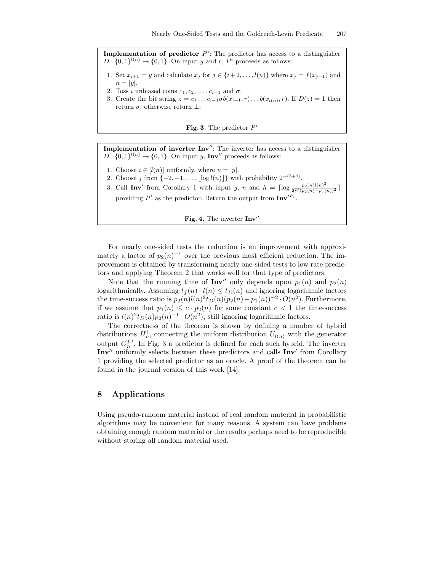**Implementation of predictor**  $P^i$ : The predictor has access to a distinguisher  $D: \{0,1\}^{l(n)} \to \{0,1\}$ . On input y and r,  $P^i$  proceeds as follows:

- 1. Set  $x_{i+1} = y$  and calculate  $x_j$  for  $j \in \{i+2,\ldots,l(n)\}\$  where  $x_j = f(x_{j-1})$  and  $n = |y|.$
- 2. Toss i unbiased coins  $c_1, c_2, \ldots, c_{i-1}$  and  $\sigma$ .
- 3. Create the bit string  $z = c_1 \ldots c_{i-1} \sigma b(x_{i+1}, r) \ldots b(x_{l(n)}, r)$ . If  $D(z) = 1$  then return  $\sigma$ , otherwise return ⊥.



Implementation of inverter Inv": The inverter has access to a distinguisher  $D: \{0,1\}^{l(n)} \to \{0,1\}$ . On input y, **Inv**'' proceeds as follows:

- 1. Choose  $i \in [l(n)]$  uniformly, where  $n = |y|$ .
- 2. Choose j from  $\{-2, -1, \ldots, \lfloor \log l(n) \rfloor\}$  with probability  $2^{-(3+j)}$ .
- 3. Call Inv' from Corollary 1 with input y, n and  $h = \lceil \log \frac{p_2(n)l(n)^2}{2^{2j}(p_2(n)-p_1(n))^2} \rceil$

providing  $P^i$  as the predictor. Return the output from  $\text{Inv'}^{P_i}$ .

Fig. 4. The inverter  $Inv''$ 

For nearly one-sided tests the reduction is an improvement with approximately a factor of  $p_2(n)^{-1}$  over the previous most efficient reduction. The improvement is obtained by transforming nearly one-sided tests to low rate predictors and applying Theorem 2 that works well for that type of predictors.

Note that the running time of  $\text{Inv}''$  only depends upon  $p_1(n)$  and  $p_2(n)$ logarithmically. Assuming  $t_f(n) \cdot l(n) \leq t_D(n)$  and ignoring logarithmic factors the time-success ratio is  $p_2(n)l(n)^2t_D(n)(p_2(n)-p_1(n))^{-2} \cdot O(n^2)$ . Furthermore, if we assume that  $p_1(n) \leq c \cdot p_2(n)$  for some constant  $c < 1$  the time-success ratio is  $l(n)^2 t_D(n) p_2(n)^{-1} \cdot O(n^2)$ , still ignoring logarithmic factors.

The correctness of the theorem is shown by defining a number of hybrid distributions  $H_n^i$ , connecting the uniform distribution  $U_{l(n)}$  with the generator output  $G_n^{f,l}$ . In Fig. 3 a predictor is defined for each such hybrid. The inverter Inv'' uniformly selects between these predictors and calls Inv' from Corollary 1 providing the selected predictor as an oracle. A proof of the theorem can be found in the journal version of this work [14].

# 8 Applications

Using pseudo-random material instead of real random material in probabilistic algorithms may be convenient for many reasons. A system can have problems obtaining enough random material or the results perhaps need to be reproducible without storing all random material used.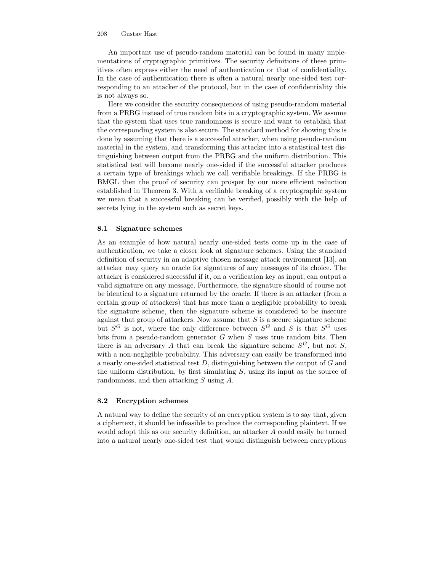An important use of pseudo-random material can be found in many implementations of cryptographic primitives. The security definitions of these primitives often express either the need of authentication or that of confidentiality. In the case of authentication there is often a natural nearly one-sided test corresponding to an attacker of the protocol, but in the case of confidentiality this is not always so.

Here we consider the security consequences of using pseudo-random material from a PRBG instead of true random bits in a cryptographic system. We assume that the system that uses true randomness is secure and want to establish that the corresponding system is also secure. The standard method for showing this is done by assuming that there is a successful attacker, when using pseudo-random material in the system, and transforming this attacker into a statistical test distinguishing between output from the PRBG and the uniform distribution. This statistical test will become nearly one-sided if the successful attacker produces a certain type of breakings which we call verifiable breakings. If the PRBG is BMGL then the proof of security can prosper by our more efficient reduction established in Theorem 3. With a verifiable breaking of a cryptographic system we mean that a successful breaking can be verified, possibly with the help of secrets lying in the system such as secret keys.

#### 8.1 Signature schemes

As an example of how natural nearly one-sided tests come up in the case of authentication, we take a closer look at signature schemes. Using the standard definition of security in an adaptive chosen message attack environment [13], an attacker may query an oracle for signatures of any messages of its choice. The attacker is considered successful if it, on a verification key as input, can output a valid signature on any message. Furthermore, the signature should of course not be identical to a signature returned by the oracle. If there is an attacker (from a certain group of attackers) that has more than a negligible probability to break the signature scheme, then the signature scheme is considered to be insecure against that group of attackers. Now assume that  $S$  is a secure signature scheme but  $S^G$  is not, where the only difference between  $S^G$  and S is that  $S^G$  uses bits from a pseudo-random generator  $G$  when  $S$  uses true random bits. Then there is an adversary A that can break the signature scheme  $S^G$ , but not S, with a non-negligible probability. This adversary can easily be transformed into a nearly one-sided statistical test  $D$ , distinguishing between the output of  $G$  and the uniform distribution, by first simulating  $S$ , using its input as the source of randomness, and then attacking S using A.

### 8.2 Encryption schemes

A natural way to define the security of an encryption system is to say that, given a ciphertext, it should be infeasible to produce the corresponding plaintext. If we would adopt this as our security definition, an attacker A could easily be turned into a natural nearly one-sided test that would distinguish between encryptions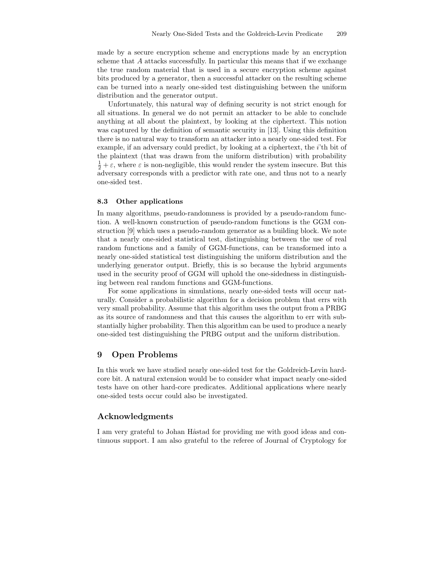made by a secure encryption scheme and encryptions made by an encryption scheme that  $A$  attacks successfully. In particular this means that if we exchange the true random material that is used in a secure encryption scheme against bits produced by a generator, then a successful attacker on the resulting scheme can be turned into a nearly one-sided test distinguishing between the uniform distribution and the generator output.

Unfortunately, this natural way of defining security is not strict enough for all situations. In general we do not permit an attacker to be able to conclude anything at all about the plaintext, by looking at the ciphertext. This notion was captured by the definition of semantic security in [13]. Using this definition there is no natural way to transform an attacker into a nearly one-sided test. For example, if an adversary could predict, by looking at a ciphertext, the i'th bit of the plaintext (that was drawn from the uniform distribution) with probability  $\frac{1}{2} + \varepsilon$ , where  $\varepsilon$  is non-negligible, this would render the system insecure. But this adversary corresponds with a predictor with rate one, and thus not to a nearly one-sided test.

### 8.3 Other applications

In many algorithms, pseudo-randomness is provided by a pseudo-random function. A well-known construction of pseudo-random functions is the GGM construction [9] which uses a pseudo-random generator as a building block. We note that a nearly one-sided statistical test, distinguishing between the use of real random functions and a family of GGM-functions, can be transformed into a nearly one-sided statistical test distinguishing the uniform distribution and the underlying generator output. Briefly, this is so because the hybrid arguments used in the security proof of GGM will uphold the one-sidedness in distinguishing between real random functions and GGM-functions.

For some applications in simulations, nearly one-sided tests will occur naturally. Consider a probabilistic algorithm for a decision problem that errs with very small probability. Assume that this algorithm uses the output from a PRBG as its source of randomness and that this causes the algorithm to err with substantially higher probability. Then this algorithm can be used to produce a nearly one-sided test distinguishing the PRBG output and the uniform distribution.

# 9 Open Problems

In this work we have studied nearly one-sided test for the Goldreich-Levin hardcore bit. A natural extension would be to consider what impact nearly one-sided tests have on other hard-core predicates. Additional applications where nearly one-sided tests occur could also be investigated.

# Acknowledgments

I am very grateful to Johan Håstad for providing me with good ideas and continuous support. I am also grateful to the referee of Journal of Cryptology for